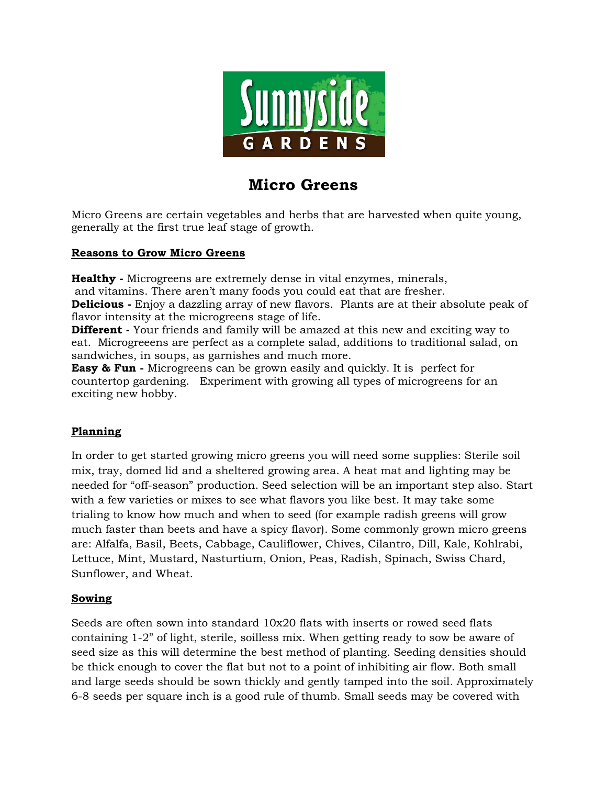

# **Micro Greens**

Micro Greens are certain vegetables and herbs that are harvested when quite young, generally at the first true leaf stage of growth.

#### **Reasons to Grow Micro Greens**

**Healthy -** Microgreens are extremely dense in vital enzymes, minerals, and vitamins. There aren't many foods you could eat that are fresher.

**Delicious -** Enjoy a dazzling array of new flavors. Plants are at their absolute peak of flavor intensity at the microgreens stage of life.

**Different** - Your friends and family will be amazed at this new and exciting way to eat. Microgreeens are perfect as a complete salad, additions to traditional salad, on sandwiches, in soups, as garnishes and much more.

**Easy & Fun -** Microgreens can be grown easily and quickly. It is perfect for countertop gardening. Experiment with growing all types of microgreens for an exciting new hobby.

# **Planning**

In order to get started growing micro greens you will need some supplies: Sterile soil mix, tray, domed lid and a sheltered growing area. A heat mat and lighting may be needed for "off-season" production. Seed selection will be an important step also. Start with a few varieties or mixes to see what flavors you like best. It may take some trialing to know how much and when to seed (for example radish greens will grow much faster than beets and have a spicy flavor). Some commonly grown micro greens are: Alfalfa, Basil, Beets, Cabbage, Cauliflower, Chives, Cilantro, Dill, Kale, Kohlrabi, Lettuce, Mint, Mustard, Nasturtium, Onion, Peas, Radish, Spinach, Swiss Chard, Sunflower, and Wheat.

#### **Sowing**

Seeds are often sown into standard 10x20 flats with inserts or rowed seed flats containing 1-2" of light, sterile, soilless mix. When getting ready to sow be aware of seed size as this will determine the best method of planting. Seeding densities should be thick enough to cover the flat but not to a point of inhibiting air flow. Both small and large seeds should be sown thickly and gently tamped into the soil. Approximately 6-8 seeds per square inch is a good rule of thumb. Small seeds may be covered with